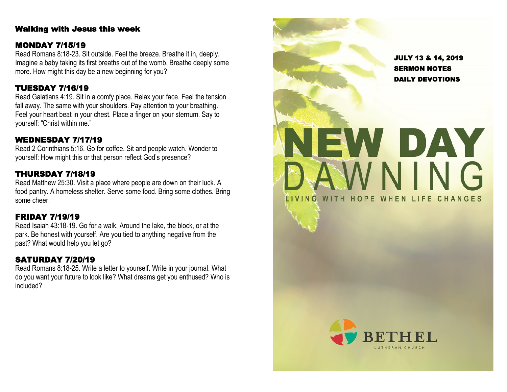### Walking with Jesus this week

#### MONDAY 7/15/19

Read Romans 8:18 -23. Sit outside. Feel the breeze. Breathe it in, deeply. Imagine a baby taking its first breaths out of the womb. Breathe deeply some more. How might this day be a new beginning for you?

### TUESDAY 7/16/19

Read Galatians 4:19. Sit in a comfy place. Relax your face. Feel the tension fall away. The same with your shoulders. Pay attention to your breathing. Feel your heart beat in your chest. Place a finger on your sternum. Say to yourself: "Christ within me."

### WEDNESDAY 7/17/19

Read 2 Corinthians 5:16. Go for coffee. Sit and people watch. Wonder to yourself: How might this or that person reflect God's presence?

### THURSDAY 7/18/19

Read Matthew 25:30. Visit a place where people are down on their luck. A food pantry. A homeless shelter. Serve some food. Bring some clothes. Bring some cheer.

### FRIDAY 7/19/19

Read Isaiah 43:18 -19. Go for a walk. Around the lake, the block, or at the park. Be honest with yourself. Are you tied to anything negative from the past? What would help you let go?

### SATURDAY 7/20/19

Read Romans 8:18 -25. Write a letter to yourself. Write in your journal. What do you want your future to look like? What dreams get you enthused? Who is included?